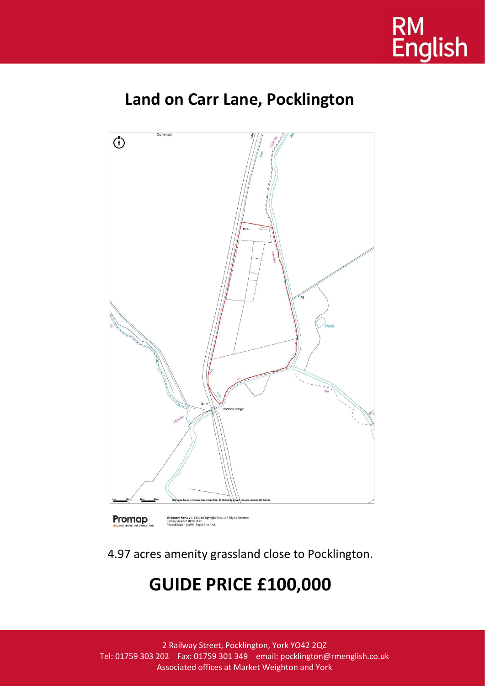

## **Land on Carr Lane, Pocklington**



4.97 acres amenity grassland close to Pocklington.

# **GUIDE PRICE £100,000**

2 Railway Street, Pocklington, York YO42 2QZ Tel: 01759 303 202 Fax: 01759 301 349 email: pocklington@rmenglish.co.uk Associated offices at Market Weighton and York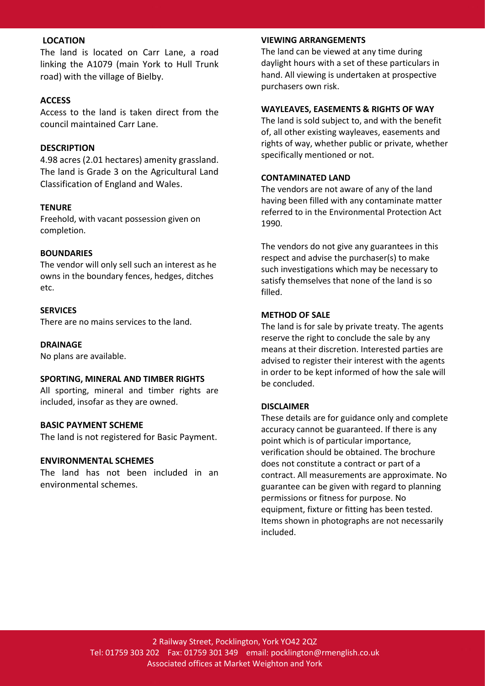## **LOCATION**

The land is located on Carr Lane, a road linking the A1079 (main York to Hull Trunk road) with the village of Bielby.

## **ACCESS**

Access to the land is taken direct from the council maintained Carr Lane.

## **DESCRIPTION**

4.98 acres (2.01 hectares) amenity grassland. The land is Grade 3 on the Agricultural Land Classification of England and Wales.

## **TENURE**

Freehold, with vacant possession given on completion.

#### **BOUNDARIES**

The vendor will only sell such an interest as he owns in the boundary fences, hedges, ditches etc.

## **SERVICES**

There are no mains services to the land.

#### **DRAINAGE**

No plans are available.

#### **SPORTING, MINERAL AND TIMBER RIGHTS**

All sporting, mineral and timber rights are included, insofar as they are owned.

#### **BASIC PAYMENT SCHEME**

The land is not registered for Basic Payment.

#### **ENVIRONMENTAL SCHEMES**

The land has not been included in an environmental schemes.

## **VIEWING ARRANGEMENTS**

The land can be viewed at any time during daylight hours with a set of these particulars in hand. All viewing is undertaken at prospective purchasers own risk.

#### **WAYLEAVES, EASEMENTS & RIGHTS OF WAY**

The land is sold subject to, and with the benefit of, all other existing wayleaves, easements and rights of way, whether public or private, whether specifically mentioned or not.

## **CONTAMINATED LAND**

The vendors are not aware of any of the land having been filled with any contaminate matter referred to in the Environmental Protection Act 1990.

The vendors do not give any guarantees in this respect and advise the purchaser(s) to make such investigations which may be necessary to satisfy themselves that none of the land is so filled.

#### **METHOD OF SALE**

The land is for sale by private treaty. The agents reserve the right to conclude the sale by any means at their discretion. Interested parties are advised to register their interest with the agents in order to be kept informed of how the sale will be concluded.

## **DISCLAIMER**

These details are for guidance only and complete accuracy cannot be guaranteed. If there is any point which is of particular importance, verification should be obtained. The brochure does not constitute a contract or part of a contract. All measurements are approximate. No guarantee can be given with regard to planning permissions or fitness for purpose. No equipment, fixture or fitting has been tested. Items shown in photographs are not necessarily included.